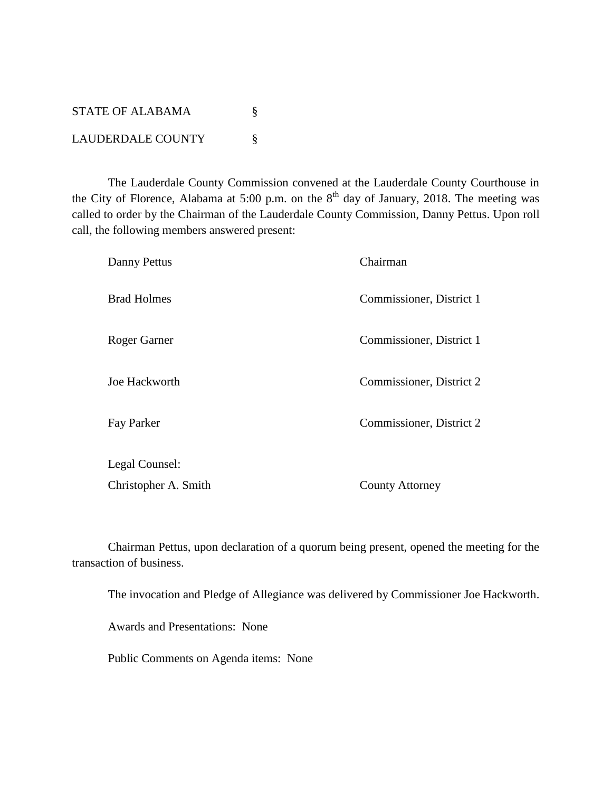| STATE OF ALABAMA         |  |
|--------------------------|--|
| <b>LAUDERDALE COUNTY</b> |  |

The Lauderdale County Commission convened at the Lauderdale County Courthouse in the City of Florence, Alabama at 5:00 p.m. on the  $8<sup>th</sup>$  day of January, 2018. The meeting was called to order by the Chairman of the Lauderdale County Commission, Danny Pettus. Upon roll call, the following members answered present:

| Danny Pettus         | Chairman                 |
|----------------------|--------------------------|
| <b>Brad Holmes</b>   | Commissioner, District 1 |
| Roger Garner         | Commissioner, District 1 |
| Joe Hackworth        | Commissioner, District 2 |
| Fay Parker           | Commissioner, District 2 |
| Legal Counsel:       |                          |
| Christopher A. Smith | <b>County Attorney</b>   |

Chairman Pettus, upon declaration of a quorum being present, opened the meeting for the transaction of business.

The invocation and Pledge of Allegiance was delivered by Commissioner Joe Hackworth.

Awards and Presentations: None

Public Comments on Agenda items: None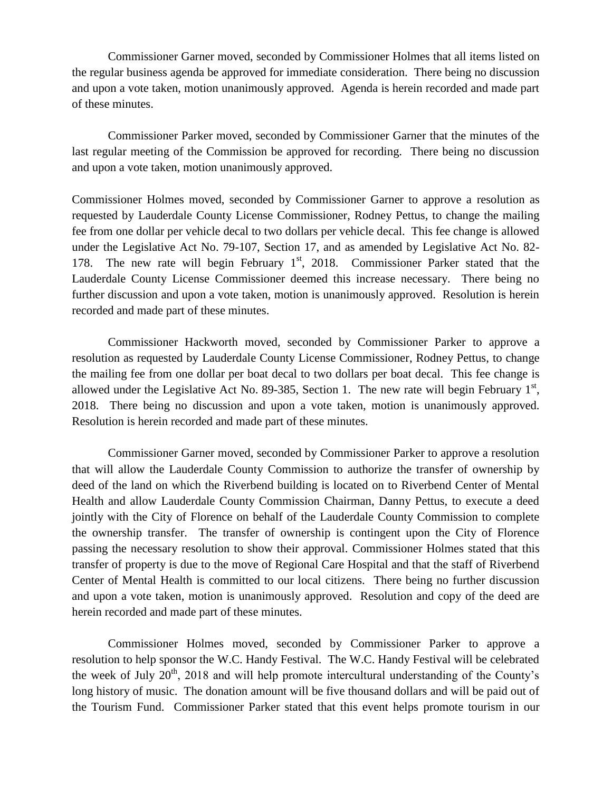Commissioner Garner moved, seconded by Commissioner Holmes that all items listed on the regular business agenda be approved for immediate consideration. There being no discussion and upon a vote taken, motion unanimously approved. Agenda is herein recorded and made part of these minutes.

Commissioner Parker moved, seconded by Commissioner Garner that the minutes of the last regular meeting of the Commission be approved for recording. There being no discussion and upon a vote taken, motion unanimously approved.

Commissioner Holmes moved, seconded by Commissioner Garner to approve a resolution as requested by Lauderdale County License Commissioner, Rodney Pettus, to change the mailing fee from one dollar per vehicle decal to two dollars per vehicle decal. This fee change is allowed under the Legislative Act No. 79-107, Section 17, and as amended by Legislative Act No. 82- 178. The new rate will begin February  $1<sup>st</sup>$ , 2018. Commissioner Parker stated that the Lauderdale County License Commissioner deemed this increase necessary. There being no further discussion and upon a vote taken, motion is unanimously approved. Resolution is herein recorded and made part of these minutes.

Commissioner Hackworth moved, seconded by Commissioner Parker to approve a resolution as requested by Lauderdale County License Commissioner, Rodney Pettus, to change the mailing fee from one dollar per boat decal to two dollars per boat decal. This fee change is allowed under the Legislative Act No. 89-385, Section 1. The new rate will begin February  $1<sup>st</sup>$ , 2018. There being no discussion and upon a vote taken, motion is unanimously approved. Resolution is herein recorded and made part of these minutes.

Commissioner Garner moved, seconded by Commissioner Parker to approve a resolution that will allow the Lauderdale County Commission to authorize the transfer of ownership by deed of the land on which the Riverbend building is located on to Riverbend Center of Mental Health and allow Lauderdale County Commission Chairman, Danny Pettus, to execute a deed jointly with the City of Florence on behalf of the Lauderdale County Commission to complete the ownership transfer. The transfer of ownership is contingent upon the City of Florence passing the necessary resolution to show their approval. Commissioner Holmes stated that this transfer of property is due to the move of Regional Care Hospital and that the staff of Riverbend Center of Mental Health is committed to our local citizens. There being no further discussion and upon a vote taken, motion is unanimously approved. Resolution and copy of the deed are herein recorded and made part of these minutes.

Commissioner Holmes moved, seconded by Commissioner Parker to approve a resolution to help sponsor the W.C. Handy Festival. The W.C. Handy Festival will be celebrated the week of July  $20^{th}$ ,  $2018$  and will help promote intercultural understanding of the County's long history of music. The donation amount will be five thousand dollars and will be paid out of the Tourism Fund. Commissioner Parker stated that this event helps promote tourism in our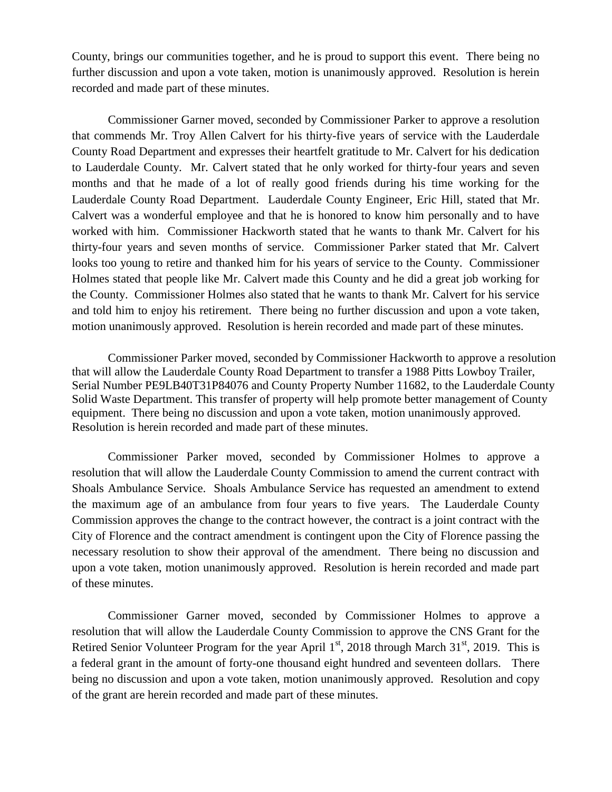County, brings our communities together, and he is proud to support this event. There being no further discussion and upon a vote taken, motion is unanimously approved. Resolution is herein recorded and made part of these minutes.

Commissioner Garner moved, seconded by Commissioner Parker to approve a resolution that commends Mr. Troy Allen Calvert for his thirty-five years of service with the Lauderdale County Road Department and expresses their heartfelt gratitude to Mr. Calvert for his dedication to Lauderdale County. Mr. Calvert stated that he only worked for thirty-four years and seven months and that he made of a lot of really good friends during his time working for the Lauderdale County Road Department. Lauderdale County Engineer, Eric Hill, stated that Mr. Calvert was a wonderful employee and that he is honored to know him personally and to have worked with him. Commissioner Hackworth stated that he wants to thank Mr. Calvert for his thirty-four years and seven months of service. Commissioner Parker stated that Mr. Calvert looks too young to retire and thanked him for his years of service to the County. Commissioner Holmes stated that people like Mr. Calvert made this County and he did a great job working for the County. Commissioner Holmes also stated that he wants to thank Mr. Calvert for his service and told him to enjoy his retirement. There being no further discussion and upon a vote taken, motion unanimously approved. Resolution is herein recorded and made part of these minutes.

Commissioner Parker moved, seconded by Commissioner Hackworth to approve a resolution that will allow the Lauderdale County Road Department to transfer a 1988 Pitts Lowboy Trailer, Serial Number PE9LB40T31P84076 and County Property Number 11682, to the Lauderdale County Solid Waste Department. This transfer of property will help promote better management of County equipment. There being no discussion and upon a vote taken, motion unanimously approved. Resolution is herein recorded and made part of these minutes.

Commissioner Parker moved, seconded by Commissioner Holmes to approve a resolution that will allow the Lauderdale County Commission to amend the current contract with Shoals Ambulance Service. Shoals Ambulance Service has requested an amendment to extend the maximum age of an ambulance from four years to five years. The Lauderdale County Commission approves the change to the contract however, the contract is a joint contract with the City of Florence and the contract amendment is contingent upon the City of Florence passing the necessary resolution to show their approval of the amendment. There being no discussion and upon a vote taken, motion unanimously approved. Resolution is herein recorded and made part of these minutes.

Commissioner Garner moved, seconded by Commissioner Holmes to approve a resolution that will allow the Lauderdale County Commission to approve the CNS Grant for the Retired Senior Volunteer Program for the year April  $1<sup>st</sup>$ , 2018 through March 31 $<sup>st</sup>$ , 2019. This is</sup> a federal grant in the amount of forty-one thousand eight hundred and seventeen dollars. There being no discussion and upon a vote taken, motion unanimously approved. Resolution and copy of the grant are herein recorded and made part of these minutes.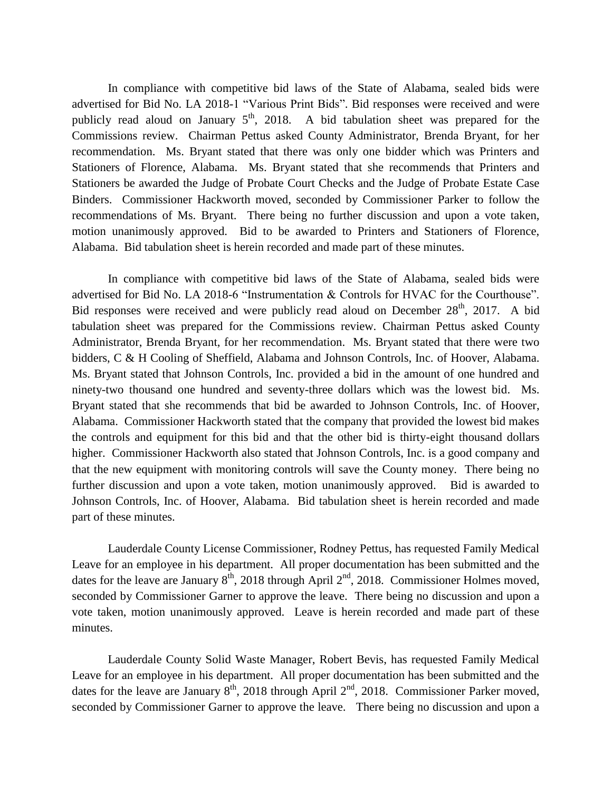In compliance with competitive bid laws of the State of Alabama, sealed bids were advertised for Bid No. LA 2018-1 "Various Print Bids". Bid responses were received and were publicly read aloud on January  $5<sup>th</sup>$ , 2018. A bid tabulation sheet was prepared for the Commissions review. Chairman Pettus asked County Administrator, Brenda Bryant, for her recommendation. Ms. Bryant stated that there was only one bidder which was Printers and Stationers of Florence, Alabama. Ms. Bryant stated that she recommends that Printers and Stationers be awarded the Judge of Probate Court Checks and the Judge of Probate Estate Case Binders. Commissioner Hackworth moved, seconded by Commissioner Parker to follow the recommendations of Ms. Bryant. There being no further discussion and upon a vote taken, motion unanimously approved. Bid to be awarded to Printers and Stationers of Florence, Alabama. Bid tabulation sheet is herein recorded and made part of these minutes.

In compliance with competitive bid laws of the State of Alabama, sealed bids were advertised for Bid No. LA 2018-6 "Instrumentation & Controls for HVAC for the Courthouse". Bid responses were received and were publicly read aloud on December  $28<sup>th</sup>$ , 2017. A bid tabulation sheet was prepared for the Commissions review. Chairman Pettus asked County Administrator, Brenda Bryant, for her recommendation. Ms. Bryant stated that there were two bidders, C & H Cooling of Sheffield, Alabama and Johnson Controls, Inc. of Hoover, Alabama. Ms. Bryant stated that Johnson Controls, Inc. provided a bid in the amount of one hundred and ninety-two thousand one hundred and seventy-three dollars which was the lowest bid. Ms. Bryant stated that she recommends that bid be awarded to Johnson Controls, Inc. of Hoover, Alabama. Commissioner Hackworth stated that the company that provided the lowest bid makes the controls and equipment for this bid and that the other bid is thirty-eight thousand dollars higher. Commissioner Hackworth also stated that Johnson Controls, Inc. is a good company and that the new equipment with monitoring controls will save the County money. There being no further discussion and upon a vote taken, motion unanimously approved. Bid is awarded to Johnson Controls, Inc. of Hoover, Alabama. Bid tabulation sheet is herein recorded and made part of these minutes.

Lauderdale County License Commissioner, Rodney Pettus, has requested Family Medical Leave for an employee in his department. All proper documentation has been submitted and the dates for the leave are January  $8<sup>th</sup>$ , 2018 through April  $2<sup>nd</sup>$ , 2018. Commissioner Holmes moved, seconded by Commissioner Garner to approve the leave. There being no discussion and upon a vote taken, motion unanimously approved. Leave is herein recorded and made part of these minutes.

Lauderdale County Solid Waste Manager, Robert Bevis, has requested Family Medical Leave for an employee in his department. All proper documentation has been submitted and the dates for the leave are January  $8<sup>th</sup>$ , 2018 through April  $2<sup>nd</sup>$ , 2018. Commissioner Parker moved, seconded by Commissioner Garner to approve the leave. There being no discussion and upon a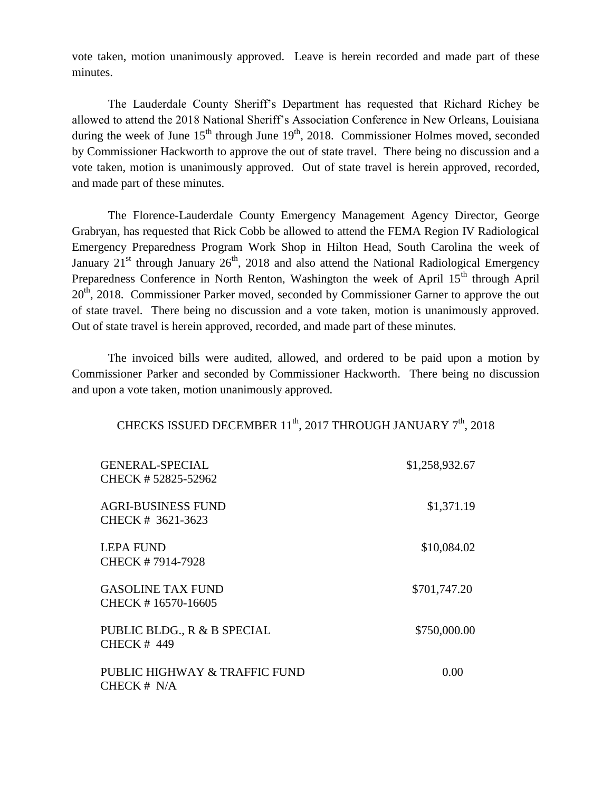vote taken, motion unanimously approved. Leave is herein recorded and made part of these minutes.

The Lauderdale County Sheriff's Department has requested that Richard Richey be allowed to attend the 2018 National Sheriff's Association Conference in New Orleans, Louisiana during the week of June  $15<sup>th</sup>$  through June  $19<sup>th</sup>$ , 2018. Commissioner Holmes moved, seconded by Commissioner Hackworth to approve the out of state travel. There being no discussion and a vote taken, motion is unanimously approved. Out of state travel is herein approved, recorded, and made part of these minutes.

The Florence-Lauderdale County Emergency Management Agency Director, George Grabryan, has requested that Rick Cobb be allowed to attend the FEMA Region IV Radiological Emergency Preparedness Program Work Shop in Hilton Head, South Carolina the week of January  $21<sup>st</sup>$  through January  $26<sup>th</sup>$ , 2018 and also attend the National Radiological Emergency Preparedness Conference in North Renton, Washington the week of April 15<sup>th</sup> through April  $20<sup>th</sup>$ , 2018. Commissioner Parker moved, seconded by Commissioner Garner to approve the out of state travel. There being no discussion and a vote taken, motion is unanimously approved. Out of state travel is herein approved, recorded, and made part of these minutes.

The invoiced bills were audited, allowed, and ordered to be paid upon a motion by Commissioner Parker and seconded by Commissioner Hackworth. There being no discussion and upon a vote taken, motion unanimously approved.

| CHECKS ISSUED DECEMBER 11 <sup>th</sup> , 2017 THROUGH JANUARY 7 <sup>th</sup> , 2018 |  |
|---------------------------------------------------------------------------------------|--|
|---------------------------------------------------------------------------------------|--|

| <b>GENERAL-SPECIAL</b><br>CHECK #52825-52962      | \$1,258,932.67 |
|---------------------------------------------------|----------------|
| AGRI-BUSINESS FUND<br>CHECK # 3621-3623           | \$1,371.19     |
| <b>LEPA FUND</b><br>CHECK #7914-7928              | \$10,084.02    |
| <b>GASOLINE TAX FUND</b><br>CHECK #16570-16605    | \$701,747.20   |
| PUBLIC BLDG., R & B SPECIAL<br><b>CHECK # 449</b> | \$750,000.00   |
| PUBLIC HIGHWAY & TRAFFIC FUND<br>CHECK $# N/A$    | 0.00           |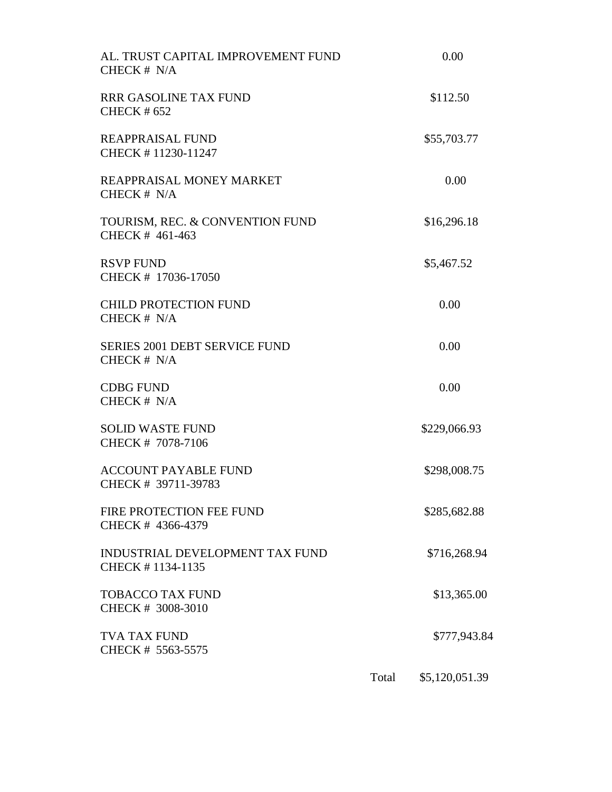| AL. TRUST CAPITAL IMPROVEMENT FUND<br>CHECK # N/A          |       | 0.00           |  |
|------------------------------------------------------------|-------|----------------|--|
| RRR GASOLINE TAX FUND<br><b>CHECK #652</b>                 |       | \$112.50       |  |
| REAPPRAISAL FUND<br>CHECK #11230-11247                     |       | \$55,703.77    |  |
| REAPPRAISAL MONEY MARKET<br>CHECK # N/A                    |       | 0.00           |  |
| TOURISM, REC. & CONVENTION FUND<br>CHECK # 461-463         |       | \$16,296.18    |  |
| <b>RSVP FUND</b><br>CHECK # 17036-17050                    |       | \$5,467.52     |  |
| <b>CHILD PROTECTION FUND</b><br>CHECK # N/A                |       | 0.00           |  |
| <b>SERIES 2001 DEBT SERVICE FUND</b><br>CHECK # N/A        |       | 0.00           |  |
| <b>CDBG FUND</b><br>CHECK # N/A                            |       | 0.00           |  |
| <b>SOLID WASTE FUND</b><br>CHECK # 7078-7106               |       | \$229,066.93   |  |
| <b>ACCOUNT PAYABLE FUND</b><br>CHECK # 39711-39783         |       | \$298,008.75   |  |
| FIRE PROTECTION FEE FUND<br>CHECK # 4366-4379              |       | \$285,682.88   |  |
| <b>INDUSTRIAL DEVELOPMENT TAX FUND</b><br>CHECK #1134-1135 |       | \$716,268.94   |  |
| <b>TOBACCO TAX FUND</b><br>CHECK # 3008-3010               |       | \$13,365.00    |  |
| TVA TAX FUND<br>CHECK # 5563-5575                          |       | \$777,943.84   |  |
|                                                            | Total | \$5,120,051.39 |  |